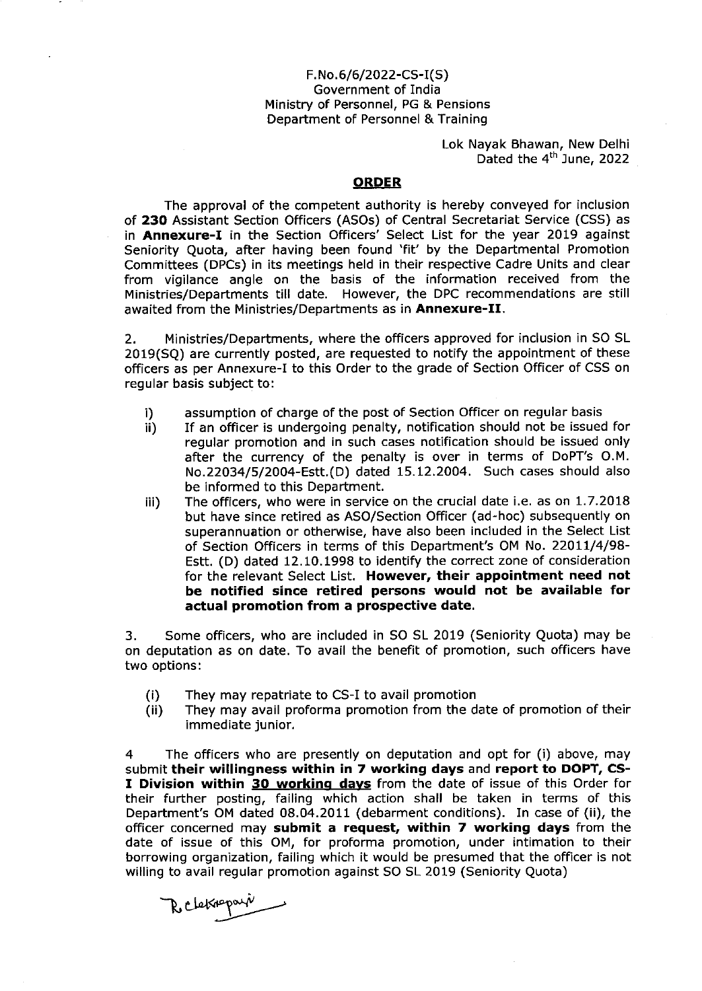#### $F.No. 6/6/2022-CS-I(S)$ Government of India Ministry of Personnel, PG & Pensions Department of Personnel & Training

Lok Nayak Bhawan, New Delhi Dated the 4<sup>th</sup> June, 2022

#### **ORDER**

The approval of the competent authority is hereby conveyed for inclusion of 23O Assistant Section Officers (ASOs) of Central Secretariat Service (CSS) as in **Annexure-I** in the Section Officers' Select List for the year 2019 against Seniority Quota, after having been found 'fit' by the Departmental Promotion Committees (DPCs) in its meetings held in their respective Cadre Units and clear from vigilance angle on the basis of the information received from the <sup>M</sup>inistries/Depa rtments till date. However, the DPC recommendations are still awaited from the Ministries/Departments as in Annexure-II.

2. Ministries/Departments, where the officers approved for inclusion in SO SL 2019(SQ) are currently posted, are requested to notify the appointment of these officers as per Annexure-I to this Order to the grade of Section Officer of CSS on regular basis subject to:

- i) assumption of charge of the post of Section Officer on regular basis<br>ii) If an officer is undergoing penalty, notification should not be issued
- If an officer is undergoing penalty, notification should not be issued for regular promotion and in such cases notification should be issued only after the currency of the penalty is over in terms of DoPT's O.M. No.22034/5/2O04-Estt. (D) dated 15.12.2004. Such cases should also be informed to this Department.
- iii) The officers, who were in service on the crucial date i.e. as on 1.7.2018 but have since retired as AsO/Section Officer (ad-hoc) subsequently on superannuation or otherwise, have also been included in the Select List of Section Officers in terms of this Department's OM No. 22017/4/9A-Estt. (D) dated 12.10.1998 to identify the correct zone of consideration for the relevant Select List. However, their appointment need not be notified since retired persons would not be available for actual promotion from a prospective date.

3. Some officers, who are included in SO SL 2019 (Seniority Quota) may be on deputation as on date. To avail the benefit of promotion, such officers have two options:

- (i) They may repatriate to CS-I to avail promotion
- (ii) They may avail proforma promotion from the date of promotion of their immediate junior.

4 The officers who are presently on deputation and opt for (i) above, may submit their willingness within in 7 working days and report to DOPT, CS-I Division within 30 working days from the date of issue of this Order for their further posting, failing which action shall be taken in terms of this Department's OM dated 08.04.2011 (debarment conditions). In case of (ii), the officer concerned may submit a request, within 7 working days from the date of issue of this OM, for proforma promotion, under intimation to their borrowing organization, failing which it would be presumed that the officer is not willing to avail regular promotion against SO SL 2019 (Seniority Quota)

Reletinopara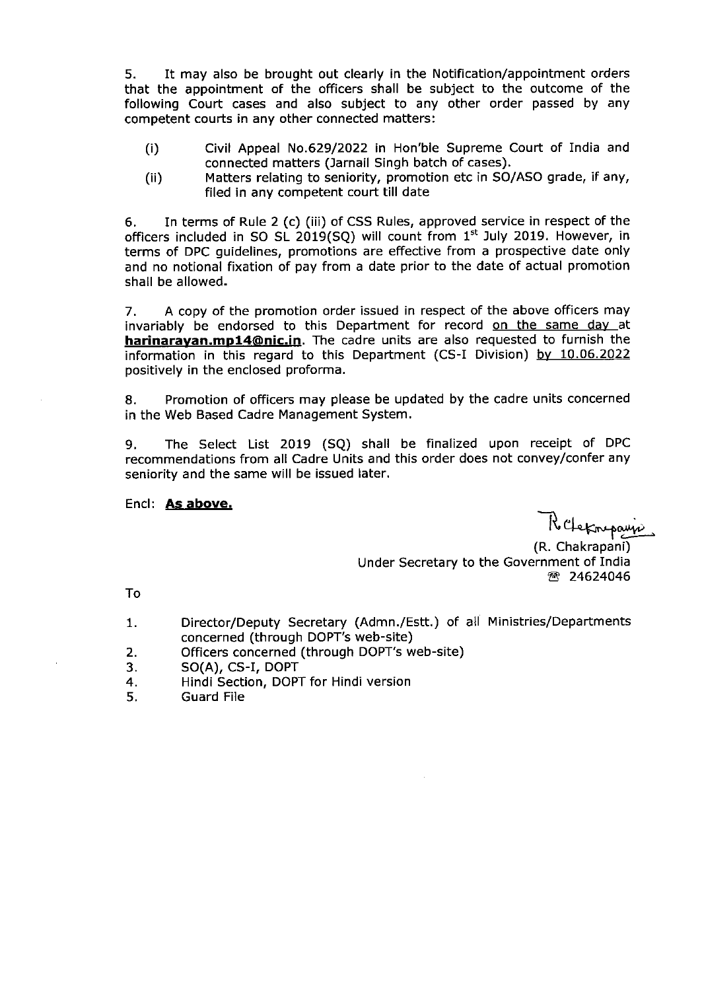5. It may also be brought out clearly in the Notification/appointment orders that the appointment of the officers shall be subject to the outcome of the following Court cases and also subject to any other order passed by any competent courts in any other connected matters:

- (i) Civil Appeal No.629/2022 in Hon'ble Supreme Court of India and connected matters (Jarnail Singh batch of cases).
- (ii) Matters relating to seniority, promotion etc in SO/ASO grade, if any, filed in any competent court till date

6. In terms of Rule 2 (c) (iii) of CSS Rules, approved service in respect of the officers included in SO SL 2019(SQ) will count from  $1<sup>st</sup>$  July 2019. However, in terms of DPC guidelines, promotions are effective from a prospective date only and no notional fixation of pay from a date prior to the date of actual promotion shall be allowed.

7, <sup>A</sup>copy of the promotion order issued in respect of the above officers may invariably be endorsed to this Department for record on the same day at harinarayan.mp14@nic.in. The cadre units are also requested to furnish the information in this regard to this Department (CS-I Division) by 10.06.2022 positively in the enclosed proforma.

8. Promotion of officers may please be updated by the cadre units concerned in the Web Based Cadre Management System.

9. The Select List 2019 (SQ) shall be finalized upon receipt of DPC recommendations from all Cadre Units and this order does not convey/confer any seniority and the same will be issued later.

Encl: <u>As above.</u><br>R'Cletarpaujo (R. Chakrapani) Under Secretary to the Government of India **图 24624046** 

To

- Director/Deputy Secretary (Admn./Estt.) of all Ministries/Departments concerned (through DOPT'S web-site) 1
- Officers concerned (through DOPT's web-site) 2.
- SO(A), CS-I, DOPT 3
- Hindi Section, DOPT for Hindi version 4
- Guard File 5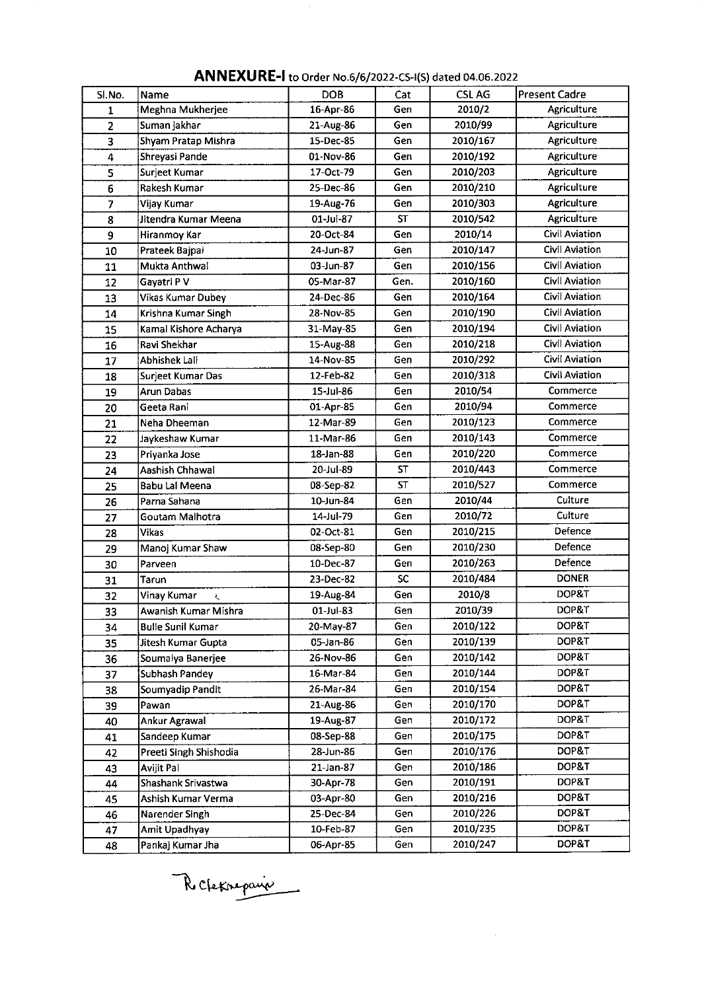| SI.No.                  | Name                     | <b>DOB</b> | Cat       | <b>CSLAG</b> | <b>Present Cadre</b>  |  |  |
|-------------------------|--------------------------|------------|-----------|--------------|-----------------------|--|--|
| 1                       | Meghna Mukherjee         | 16-Apr-86  | Gen       | 2010/2       | Agriculture           |  |  |
| $\overline{\mathbf{c}}$ | Suman jakhar             | 21-Aug-86  | Gen       | 2010/99      | Agriculture           |  |  |
| 3                       | Shyam Pratap Mishra      | 15-Dec-85  | Gen       | 2010/167     | <b>Agriculture</b>    |  |  |
| 4                       | Shreyasi Pande           | 01-Nov-86  | Gen       | 2010/192     | <b>Agriculture</b>    |  |  |
| 5                       | Surjeet Kumar            | 17-Oct-79  | Gen       | 2010/203     | <b>Agriculture</b>    |  |  |
| 6                       | Rakesh Kumar             | 25-Dec-86  | Gen       | 2010/210     | Agriculture           |  |  |
| 7                       | Vijay Kumar              | 19-Aug-76  | Gen       | 2010/303     | <b>Agriculture</b>    |  |  |
| 8                       | Jitendra Kumar Meena     | 01-Jul-87  | <b>ST</b> | 2010/542     | Agriculture           |  |  |
| 9                       | <b>Hiranmoy Kar</b>      | 20-Oct-84  | Gen       | 2010/14      | Civil Aviation        |  |  |
| 10                      | Prateek Bajpai           | 24-Jun-87  | Gen       | 2010/147     | Civil Aviation        |  |  |
| 11                      | Mukta Anthwal            | 03-Jun-87  | Gen       | 2010/156     | Civil Aviation        |  |  |
| 12                      | Gayatri P V              | 05-Mar-87  | Gen.      | 2010/160     | Civil Aviation        |  |  |
| 13                      | Vikas Kumar Dubey        | 24-Dec-86  | Gen       | 2010/164     | Civil Aviation        |  |  |
| 14                      | Krishna Kumar Singh      | 28-Nov-85  | Gen       | 2010/190     | Civil Aviation        |  |  |
| 15                      | Kamal Kishore Acharya    | 31-May-85  | Gen       | 2010/194     | Civil Aviation        |  |  |
| 16                      | Ravi Shekhar             | 15-Aug-88  | Gen       | 2010/218     | <b>Civil Aviation</b> |  |  |
| 17                      | Abhishek Lall            | 14-Nov-85  | Gen       | 2010/292     | Civil Aviation        |  |  |
| 18                      | Surjeet Kumar Das        | 12-Feb-82  | Gen       | 2010/318     | <b>Civil Aviation</b> |  |  |
| 19                      | <b>Arun Dabas</b>        | 15-Jul-86  | Gen       | 2010/54      | Commerce              |  |  |
| 20                      | Geeta Rani               | 01-Apr-85  | Gen       | 2010/94      | Commerce              |  |  |
| 21                      | Neha Dheeman             | 12-Mar-89  | Gen       | 2010/123     | Commerce              |  |  |
| 22                      | Jaykeshaw Kumar          | 11-Mar-86  | Gen       | 2010/143     | Commerce              |  |  |
| 23                      | Priyanka Jose            | 18-Jan-88  | Gen       | 2010/220     | Commerce              |  |  |
| 24                      | Aashish Chhawal          | 20-Jul-89  | ST        | 2010/443     | Commerce              |  |  |
| 25                      | <b>Babu Lal Meena</b>    | 08-Sep-82  | <b>ST</b> | 2010/527     | Commerce              |  |  |
| 26                      | Parna Sahana             | 10-Jun-84  | Gen       | 2010/44      | Culture               |  |  |
| 27                      | Goutam Malhotra          | 14-Jul-79  | Gen       | 2010/72      | Culture               |  |  |
| 28                      | <b>Vikas</b>             | 02-Oct-81  | Gen       | 2010/215     | Defence               |  |  |
| 29                      | Manoj Kumar Shaw         | 08-Sep-80  | Gen       | 2010/230     | Defence               |  |  |
| 30                      | Parveen                  | 10-Dec-87  | Gen       | 2010/263     | Defence               |  |  |
| 31                      | Tarun                    | 23-Dec-82  | SC        | 2010/484     | <b>DONER</b>          |  |  |
| 32                      | Vinay Kumar<br>Ł         | 19-Aug-84  | Gen       | 2010/8       | DOP&T                 |  |  |
| 33                      | Awanish Kumar Mishra     | 01-Jul-83  | Gen       | 2010/39      | DOP&T                 |  |  |
| 34                      | <b>Bulle Sunil Kumar</b> | 20-May-87  | Gen       | 2010/122     | DOP&T                 |  |  |
| 35                      | Jitesh Kumar Gupta       | 05-Jan-86  | Gen       | 2010/139     | DOP&T                 |  |  |
| 36                      | Soumalya Banerjee        | 26-Nov-86  | Gen       | 2010/142     | DOP&T                 |  |  |
| 37                      | Subhash Pandey           | 16-Mar-84  | Gen       | 2010/144     | DOP&T                 |  |  |
| 38                      | Soumyadip Pandit         | 26-Mar-84  | Gen       | 2010/154     | DOP&T                 |  |  |
| 39                      | Pawan                    | 21-Aug-86  | Gen       | 2010/170     | DOP&T                 |  |  |
| 40                      | Ankur Agrawal            | 19-Aug-87  | Gen       | 2010/172     | DOP&T                 |  |  |
| 41                      | Sandeep Kumar            | 08-Sep-88  | Gen       | 2010/175     | DOP&T                 |  |  |
| 42                      | Preeti Singh Shishodia   | 28-Jun-86  | Gen       | 2010/176     | DOP&T                 |  |  |
| 43                      | Avijit Pal               | 21-Jan-87  | Gen       | 2010/186     | DOP&T                 |  |  |
| 44                      | Shashank Srivastwa       | 30-Apr-78  | Gen       | 2010/191     | DOP&T                 |  |  |
| 45                      | Ashish Kumar Verma       | 03-Apr-80  | Gen       | 2010/216     | DOP&T                 |  |  |
| 46                      | Narender Singh           | 25-Dec-84  | Gen       | 2010/226     | DOP&T                 |  |  |
| 47                      | Amit Upadhyay            | 10-Feb-87  | Gen       | 2010/235     | DOP&T                 |  |  |
| 48                      | Pankaj Kumar Jha         | 06-Apr-85  | Gen       | 2010/247     | DOP&T                 |  |  |

## ANNEXURE-l to order No.6/6/2022-cs-r(s) dated 04.06.2022

Rechteronie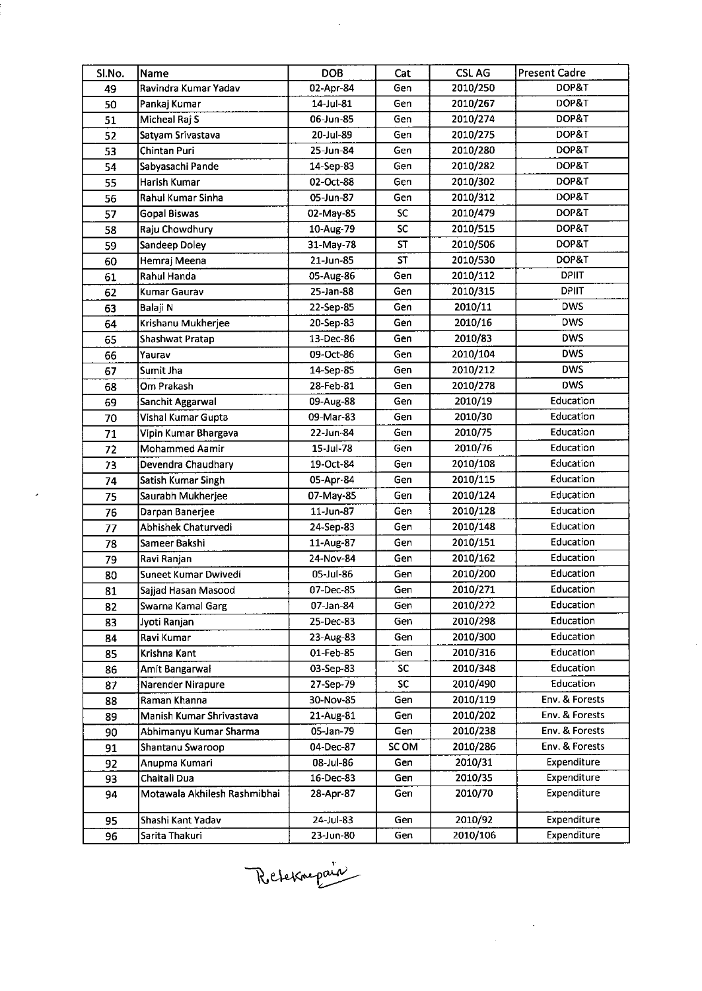| SI.No. | Name                         | <b>DOB</b> | Cat       | <b>CSLAG</b> | <b>Present Cadre</b> |
|--------|------------------------------|------------|-----------|--------------|----------------------|
| 49     | Ravindra Kumar Yadav         | 02-Apr-84  | Gen       | 2010/250     | DOP&T                |
| 50     | Pankaj Kumar                 | 14-Jul-81  | Gen       | 2010/267     | DOP&T                |
| 51     | Micheal Raj S                | 06-Jun-85  | Gen       | 2010/274     | DOP&T                |
| 52     | Satyam Srivastava            | 20-Jul-89  | Gen       | 2010/275     | DOP&T                |
| 53     | Chintan Puri                 | 25-Jun-84  | Gen       | 2010/280     | DOP&T                |
| 54     | Sabyasachi Pande             | 14-Sep-83  | Gen       | 2010/282     | DOP&T                |
| 55     | Harish Kumar                 | 02-Oct-88  | Gen       | 2010/302     | DOP&T                |
| 56     | Rahul Kumar Sinha            | 05-Jun-87  | Gen       | 2010/312     | DOP&T                |
| 57     | Gopal Biswas                 | 02-May-85  | <b>SC</b> | 2010/479     | DOP&T                |
| 58     | Raju Chowdhury               | 10-Aug-79  | SC        | 2010/515     | DOP&T                |
| 59     | Sandeep Doley                | 31-May-78  | <b>ST</b> | 2010/506     | DOP&T                |
| 60     | Hemraj Meena                 | 21-Jun-85  | <b>ST</b> | 2010/530     | DOP&T                |
| 61     | Rahul Handa                  | 05-Aug-86  | Gen       | 2010/112     | <b>DPIIT</b>         |
| 62     | Kumar Gaurav                 | 25-Jan-88  | Gen       | 2010/315     | <b>DPIIT</b>         |
| 63     | Balaji N                     | 22-Sep-85  | Gen       | 2010/11      | <b>DWS</b>           |
| 64     | Krishanu Mukherjee           | 20-Sep-83  | Gen       | 2010/16      | <b>DWS</b>           |
| 65     | Shashwat Pratap              | 13-Dec-86  | Gen       | 2010/83      | <b>DWS</b>           |
| 66     | Yaurav                       | 09-Oct-86  | Gen       | 2010/104     | <b>DWS</b>           |
| 67     | Sumit Jha                    | 14-Sep-85  | Gen       | 2010/212     | <b>DWS</b>           |
| 68     | Om Prakash                   | 28-Feb-81  | Gen       | 2010/278     | <b>DWS</b>           |
| 69     | Sanchit Aggarwal             | 09-Aug-88  | Gen       | 2010/19      | Education            |
| 70     | Vishal Kumar Gupta           | 09-Mar-83  | Gen       | 2010/30      | Education            |
| 71     | Vipin Kumar Bhargava         | 22-Jun-84  | Gen       | 2010/75      | Education            |
| 72     | Mohammed Aamir               | 15-Jul-78  | Gen       | 2010/76      | Education            |
| 73     | Devendra Chaudhary           | 19-Oct-84  | Gen       | 2010/108     | Education            |
| 74     | Satish Kumar Singh           | 05-Apr-84  | Gen       | 2010/115     | Education            |
| 75     | Saurabh Mukherjee            | 07-May-85  | Gen       | 2010/124     | Education            |
| 76     | Darpan Banerjee              | 11-Jun-87  | Gen       | 2010/128     | Education            |
| 77     | Abhishek Chaturvedi          | 24-Sep-83  | Gen       | 2010/148     | Education            |
| 78     | Sameer Bakshi                | 11-Aug-87  | Gen       | 2010/151     | Education            |
| 79     | Ravi Ranjan                  | 24-Nov-84  | Gen       | 2010/162     | Education            |
| 80     | Suneet Kumar Dwivedi         | 05-Jul-86  | Gen       | 2010/200     | Education            |
| 81     | Sajjad Hasan Masood          | 07-Dec-85  | Gen       | 2010/271     | Education            |
| 82     | Swarna Kamal Garg            | 07-Jan-84  | Gen       | 2010/272     | Education            |
| 83     | Jyoti Ranjan                 | 25-Dec-83  | Gen       | 2010/298     | Education            |
| 84     | Ravi Kumar                   | 23-Aug-83  | Gen       | 2010/300     | Education            |
| 85     | Krishna Kant                 | 01-Feb-85  | Gen       | 2010/316     | Education            |
| 86     | Amit Bangarwal               | 03-Sep-83  | SC        | 2010/348     | Education            |
| 87     | Narender Nirapure            | 27-Sep-79  | <b>SC</b> | 2010/490     | Education            |
| 88     | Raman Khanna                 | 30-Nov-85  | Gen       | 2010/119     | Env. & Forests       |
| 89     | Manish Kumar Shrivastava     | 21-Aug-81  | Gen       | 2010/202     | Env. & Forests       |
| 90     | Abhimanyu Kumar Sharma       | 05-Jan-79  | Gen       | 2010/238     | Env. & Forests       |
| 91     | Shantanu Swaroop             | 04-Dec-87  | SC OM     | 2010/286     | Env. & Forests       |
| 92     | Anupma Kumari                | 08-Jul-86  | Gen       | 2010/31      | Expenditure          |
| 93     | Chaitali Dua                 | 16-Dec-83  | Gen       | 2010/35      | Expenditure          |
| 94     | Motawala Akhilesh Rashmibhai | 28-Apr-87  | Gen       | 2010/70      | Expenditure          |
| 95     | Shashi Kant Yadav            | 24-Jul-83  | Gen       | 2010/92      | Expenditure          |
| 96     | Sarita Thakuri               | 23-Jun-80  | Gen       | 2010/106     | Expenditure          |

 $\sim$ 

 $\bar{\boldsymbol{\epsilon}}$ 

 $\sim 10^{-1}$ 

Reternagair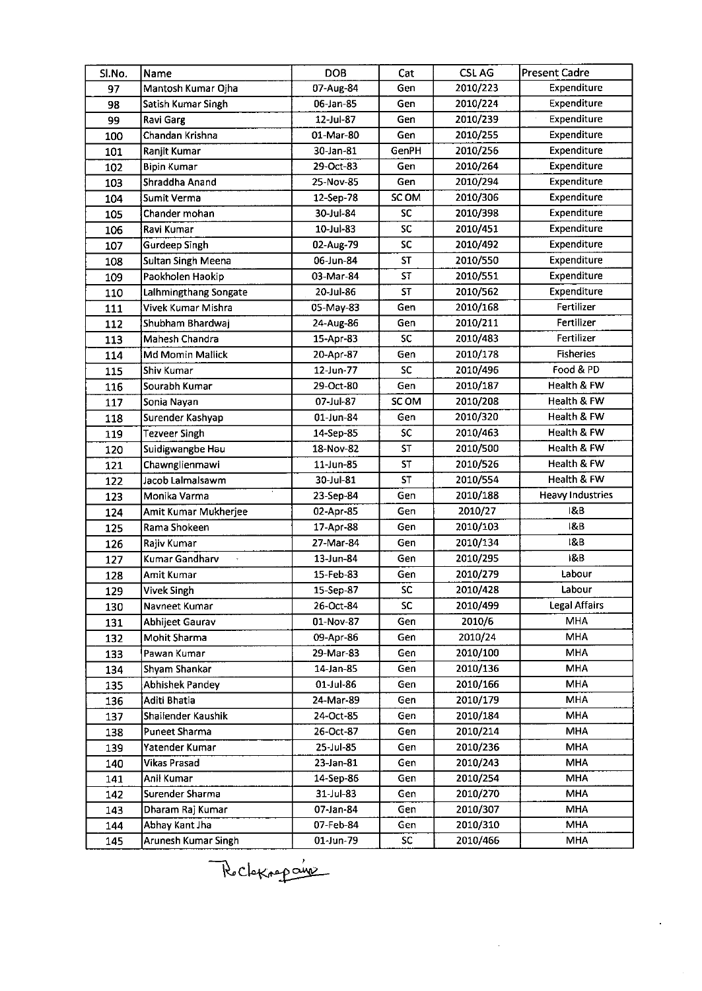| Sl.No. | Name                   | <b>DOB</b> | Cat       | <b>CSLAG</b> | Present Cadre           |
|--------|------------------------|------------|-----------|--------------|-------------------------|
| 97     | Mantosh Kumar Ojha     | 07-Aug-84  | Gen       | 2010/223     | Expenditure             |
| 98     | Satish Kumar Singh     | 06-Jan-85  | Gen       | 2010/224     | Expenditure             |
| 99     | <b>Ravi Garg</b>       | 12-Jul-87  | Gen       | 2010/239     | Expenditure             |
| 100    | Chandan Krishna        | 01-Mar-80  | Gen       | 2010/255     | Expenditure             |
| 101    | Ranjit Kumar           | 30-Jan-81  | GenPH     | 2010/256     | Expenditure             |
| 102    | <b>Bipin Kumar</b>     | 29-Oct-83  | Gen       | 2010/264     | Expenditure             |
| 103    | Shraddha Anand         | 25-Nov-85  | Gen       | 2010/294     | Expenditure             |
| 104    | Sumit Verma            | 12-Sep-78  | SC OM     | 2010/306     | Expenditure             |
| 105    | Chander mohan          | 30-Jul-84  | <b>SC</b> | 2010/398     | Expenditure             |
| 106    | <b>Ravi Kumar</b>      | 10-Jul-83  | SC        | 2010/451     | Expenditure             |
| 107    | <b>Gurdeep Singh</b>   | 02-Aug-79  | <b>SC</b> | 2010/492     | Expenditure             |
| 108    | Sultan Singh Meena     | 06-Jun-84  | <b>ST</b> | 2010/550     | Expenditure             |
| 109    | Paokholen Haokip       | 03-Mar-84  | ST        | 2010/551     | Expenditure             |
| 110    | Lalhmingthang Songate  | 20-Jul-86  | <b>ST</b> | 2010/562     | Expenditure             |
| 111    | Vivek Kumar Mishra     | 05-May-83  | Gen       | 2010/168     | Fertilizer              |
| 112    | Shubham Bhardwaj       | 24-Aug-86  | Gen       | 2010/211     | Fertilizer              |
| 113    | Mahesh Chandra         | 15-Apr-83  | <b>SC</b> | 2010/483     | Fertilizer              |
| 114    | Md Momin Mallick       | 20-Apr-87  | Gen       | 2010/178     | <b>Fisheries</b>        |
| 115    | İShiv Kumar            | 12-Jun-77  | <b>SC</b> | 2010/496     | Food & PD               |
| 116    | Sourabh Kumar          | 29-Oct-80  | Gen       | 2010/187     | Health & FW             |
| 117    | Sonia Nayan            | 07-Jul-87  | SC OM     | 2010/208     | Health & FW             |
| 118    | Surender Kashyap       | 01-Jun-84  | Gen       | 2010/320     | Health & FW             |
| 119    | <b>Tezveer Singh</b>   | 14-Sep-85  | SC        | 2010/463     | Health & FW             |
| 120    | Suidigwangbe Hau       | 18-Nov-82  | <b>ST</b> | 2010/500     | Health & FW             |
| 121    | Chawnglienmawi         | 11-Jun-85  | <b>ST</b> | 2010/526     | Health & FW             |
| 122    | Jacob Lalmalsawm       | 30-Jul-81  | <b>ST</b> | 2010/554     | Health & FW             |
| 123    | Monika Varma           | 23-Sep-84  | Gen       | 2010/188     | <b>Heavy Industries</b> |
| 124    | Amit Kumar Mukherjee   | 02-Apr-85  | Gen       | 2010/27      | 18.B                    |
| 125    | Rama Shokeen           | 17-Apr-88  | Gen       | 2010/103     | 18B                     |
| 126    | Rajiv Kumar            | 27-Mar-84  | Gen       | 2010/134     | 18B                     |
| 127    | Kumar Gandharv         | 13-Jun-84  | Gen       | 2010/295     | 1&B                     |
| 128    | Amit Kumar             | 15-Feb-83  | Gen       | 2010/279     | Labour                  |
| 129    | Vivek Singh            | 15-Sep-87  | SC        | 2010/428     | Labour                  |
| 130    | Navneet Kumar          | 26-Oct-84  | SC.       | 2010/499     | <b>Legal Affairs</b>    |
| 131    | Abhijeet Gaurav        | 01-Nov-87  | Gen       | 2010/6       | <b>MHA</b>              |
| 132    | Mohit Sharma           | 09-Apr-86  | Gen       | 2010/24      | <b>MHA</b>              |
| 133    | Pawan Kumar            | 29-Mar-83  | Gen       | 2010/100     | <b>MHA</b>              |
| 134    | Shyam Shankar          | 14-Jan-85  | Gen       | 2010/136     | <b>MHA</b>              |
| 135    | <b>Abhishek Pandey</b> | 01-Jul-86  | Gen       | 2010/166     | <b>MHA</b>              |
| 136    | Aditi Bhatia           | 24-Mar-89  | Gen       | 2010/179     | <b>MHA</b>              |
| 137    | Shailender Kaushik     | 24-Oct-85  | Gen       | 2010/184     | <b>MHA</b>              |
| 138    | Puneet Sharma          | 26-Oct-87  | Gen       | 2010/214     | MHA                     |
| 139    | Yatender Kumar         | 25-Jul-85  | Gen       | 2010/236     | <b>MHA</b>              |
| 140    | <b>Vikas Prasad</b>    | 23-Jan-81  | Gen       | 2010/243     | <b>MHA</b>              |
| 141    | Anil Kumar             | 14-Sep-86  | Gen       | 2010/254     | <b>MHA</b>              |
| 142    | Surender Sharma        | 31-Jul-83  | Gen       | 2010/270     | MHA                     |
| 143    | Dharam Raj Kumar       | 07-Jan-84  | Gen       | 2010/307     | <b>MHA</b>              |
| 144    | Abhay Kant Jha         | 07-Feb-84  | Gen       | 2010/310     | MHA                     |
| 145    | Arunesh Kumar Singh    | 01-Jun-79  | SC        | 2010/466     | MHA                     |

Rocheropain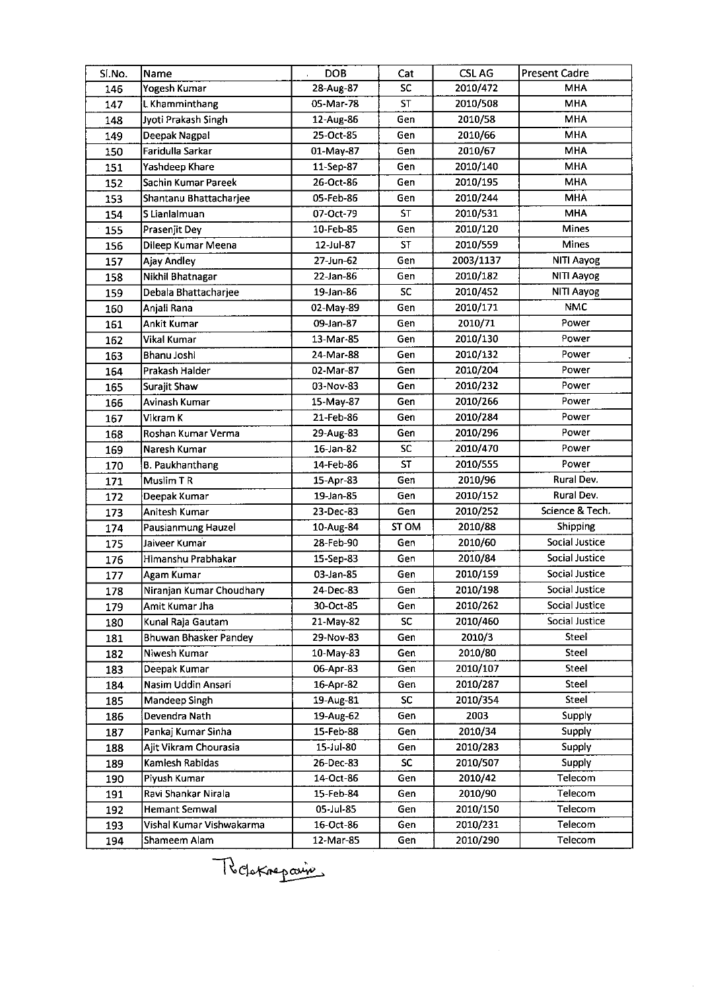| SI.No. | Name                     | <b>DOB</b> | Cat       | <b>CSLAG</b> | <b>Present Cadre</b>  |
|--------|--------------------------|------------|-----------|--------------|-----------------------|
| 146    | Yogesh Kumar             | 28-Aug-87  | <b>SC</b> | 2010/472     | <b>MHA</b>            |
| 147    | L Khamminthang           | 05-Mar-78  | <b>ST</b> | 2010/508     | <b>MHA</b>            |
| 148    | Jyoti Prakash Singh      | 12-Aug-86  | Gen       | 2010/58      | <b>MHA</b>            |
| 149    | Deepak Nagpal            | 25-Oct-85  | Gen       | 2010/66      | <b>MHA</b>            |
| 150    | Faridulla Sarkar         | 01-May-87  | Gen       | 2010/67      | <b>MHA</b>            |
| 151    | Yashdeep Khare           | 11-Sep-87  | Gen       | 2010/140     | <b>MHA</b>            |
| 152    | Sachin Kumar Pareek      | 26-Oct-86  | Gen       | 2010/195     | <b>MHA</b>            |
| 153    | Shantanu Bhattacharjee   | 05-Feb-86  | Gen       | 2010/244     | <b>MHA</b>            |
| 154    | S Lianlalmuan            | 07-Oct-79  | <b>ST</b> | 2010/531     | MHA                   |
| 155    | Prasenjit Dey            | 10-Feb-85  | Gen       | 2010/120     | Mines                 |
| 156    | Dileep Kumar Meena       | 12-Jul-87  | ST        | 2010/559     | <b>Mines</b>          |
| 157    | <b>Ajay Andley</b>       | 27-Jun-62  | Gen       | 2003/1137    | NITI Aayog            |
| 158    | Nikhil Bhatnagar         | 22-Jan-86  | Gen       | 2010/182     | NITI Aayog            |
| 159    | Debala Bhattacharjee     | 19-Jan-86  | <b>SC</b> | 2010/452     | NITI Aayog            |
| 160    | Anjali Rana              | 02-May-89  | Gen       | 2010/171     | <b>NMC</b>            |
| 161    | Ankit Kumar              | 09-Jan-87  | Gen       | 2010/71      | Power                 |
| 162    | Vikal Kumar              | 13-Mar-85  | Gen       | 2010/130     | Power                 |
| 163    | Bhanu Joshi              | 24-Mar-88  | Gen       | 2010/132     | Power                 |
| 164    | Prakash Halder           | 02-Mar-87  | Gen       | 2010/204     | Power                 |
| 165    | Surajit Shaw             | 03-Nov-83  | Gen       | 2010/232     | Power                 |
| 166    | Avinash Kumar            | 15-May-87  | Gen       | 2010/266     | Power                 |
| 167    | Vikram K                 | 21-Feb-86  | Gen       | 2010/284     | Power                 |
| 168    | Roshan Kumar Verma       | 29-Aug-83  | Gen       | 2010/296     | Power                 |
| 169    | Naresh Kumar             | 16-Jan-82  | <b>SC</b> | 2010/470     | Power                 |
| 170    | <b>B. Paukhanthang</b>   | 14-Feb-86  | ST        | 2010/555     | Power                 |
| 171    | Muslim TR                | 15-Apr-83  | Gen       | 2010/96      | Rural Dev.            |
| 172    | Deepak Kumar             | 19-Jan-85  | Gen       | 2010/152     | Rural Dev.            |
| 173    | Anitesh Kumar            | 23-Dec-83  | Gen       | 2010/252     | Science & Tech.       |
| 174    | Pausianmung Hauzel       | 10-Aug-84  | ST OM     | 2010/88      | Shipping              |
| 175    | Jaiveer Kumar            | 28-Feb-90  | Gen       | 2010/60      | <b>Social Justice</b> |
| 176    | Himanshu Prabhakar       | 15-Sep-83  | Gen       | 2010/84      | Social Justice        |
| 177    | Agam Kumar               | 03-Jan-85  | Gen       | 2010/159     | Social Justice        |
| 178    | Niranjan Kumar Choudhary | 24-Dec-83  | Gen       | 2010/198     | Social Justice        |
| 179    | Amit Kumar Jha           | 30-Oct-85  | Gen       | 2010/262     | Social Justice        |
| 180    | Kunal Raja Gautam        | 21-May-82  | <b>SC</b> | 2010/460     | Social Justice        |
| 181    | Bhuwan Bhasker Pandey    | 29-Nov-83  | Gen       | 2010/3       | Steel                 |
| 182    | Niwesh Kumar             | 10-May-83  | Gen       | 2010/80      | Steel                 |
| 183    | Deepak Kumar             | 06-Apr-83  | Gen       | 2010/107     | Steel                 |
| 184    | Nasim Uddin Ansari       | 16-Apr-82  | Gen       | 2010/287     | Steel                 |
| 185    | Mandeep Singh            | 19-Aug-81  | <b>SC</b> | 2010/354     | Steel                 |
| 186    | Devendra Nath            | 19-Aug-62  | Gen       | 2003         | Supply                |
| 187    | Pankaj Kumar Sinha       | 15-Feb-88  | Gen       | 2010/34      | Supply                |
| 188    | Ajit Vikram Chourasia    | 15-Jul-80  | Gen       | 2010/283     | Supply                |
| 189    | Kamlesh Rabidas          | 26-Dec-83  | SC        | 2010/507     | Supply                |
| 190    | Piyush Kumar             | 14-Oct-86  | Gen       | 2010/42      | Telecom               |
| 191    | Ravi Shankar Nirala      | 15-Feb-84  | Gen       | 2010/90      | Telecom               |
| 192    | Hemant Semwal            | 05-Jul-85  | Gen       | 2010/150     | Telecom               |
| 193    | Vishal Kumar Vishwakarma | 16-Oct-86  | Gen       | 2010/231     | Telecom               |
| 194    | Shameem Alam             | 12-Mar-85  | Gen       | 2010/290     | Telecom               |

Reportements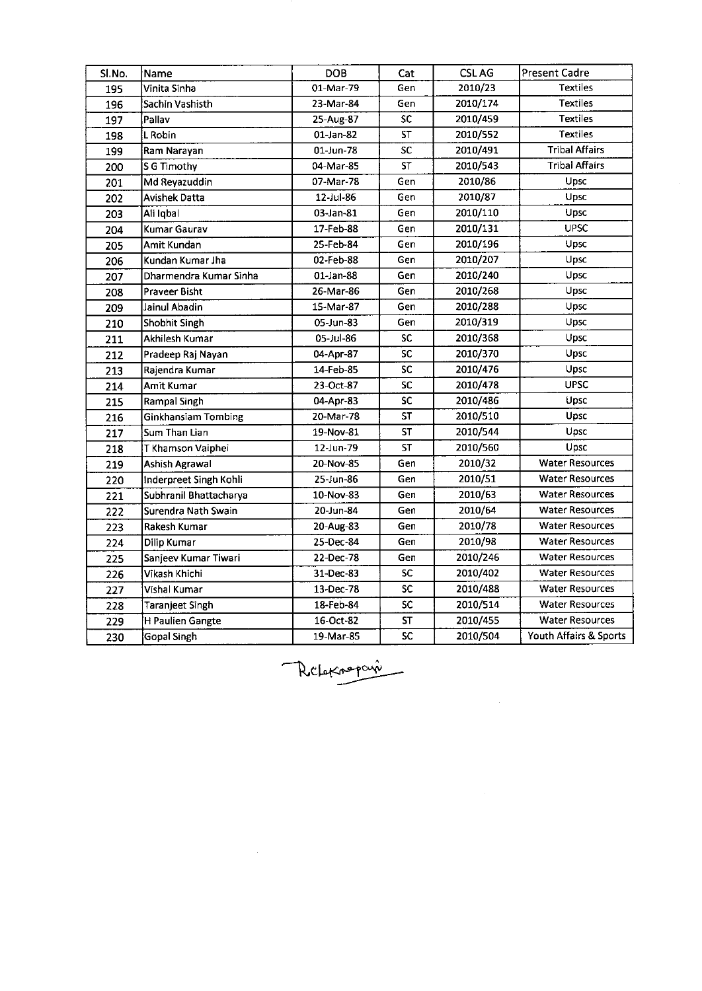| Sl.No. | Name                   | <b>DOB</b> | Cat       | <b>CSLAG</b> | <b>Present Cadre</b>   |  |
|--------|------------------------|------------|-----------|--------------|------------------------|--|
| 195    | Vinita Sinha           | 01-Mar-79  | Gen       | 2010/23      | <b>Textiles</b>        |  |
| 196    | Sachin Vashisth        | 23-Mar-84  | Gen       | 2010/174     | <b>Textiles</b>        |  |
| 197    | Pallav                 | 25-Aug-87  | <b>SC</b> | 2010/459     | <b>Textiles</b>        |  |
| 198    | L Robin                | 01-Jan-82  | <b>ST</b> | 2010/552     | <b>Textiles</b>        |  |
| 199    | Ram Narayan            | 01-Jun-78  | SC        | 2010/491     | <b>Tribal Affairs</b>  |  |
| 200    | S G Timothy            | 04-Mar-85  | <b>ST</b> | 2010/543     | <b>Tribal Affairs</b>  |  |
| 201    | Md Reyazuddin          | 07-Mar-78  | Gen       | 2010/86      | Upsc                   |  |
| 202    | <b>Avishek Datta</b>   | 12-Jul-86  | Gen       | 2010/87      | Upsc                   |  |
| 203    | Ali Iqbal              | 03-Jan-81  | Gen       | 2010/110     | Upsc                   |  |
| 204    | Kumar Gaurav           | 17-Feb-88  | Gen       | 2010/131     | <b>UPSC</b>            |  |
| 205    | Amit Kundan            | 25-Feb-84  | Gen       | 2010/196     | Upsc                   |  |
| 206    | Kundan Kumar Jha       | 02-Feb-88  | Gen       | 2010/207     | Upsc                   |  |
| 207    | Dharmendra Kumar Sinha | 01-Jan-88  | Gen       | 2010/240     | Upsc                   |  |
| 208    | Praveer Bisht          | 26-Mar-86  | Gen       | 2010/268     | Upsc                   |  |
| 209    | Jainul Abadin          | 15-Mar-87  | Gen       | 2010/288     | Upsc                   |  |
| 210    | Shobhit Singh          | 05-Jun-83  | Gen       | 2010/319     | Upsc                   |  |
| 211    | Akhilesh Kumar         | 05-Jul-86  | SC.       | 2010/368     | Upsc                   |  |
| 212    | Pradeep Raj Nayan      | 04-Apr-87  | SC        | 2010/370     | Upsc                   |  |
| 213    | Rajendra Kumar         | 14-Feb-85  | <b>SC</b> | 2010/476     | Upsc                   |  |
| 214    | Amit Kumar             | 23-Oct-87  | SC        | 2010/478     | <b>UPSC</b>            |  |
| 215    | Rampal Singh           | 04-Apr-83  | SC        | 2010/486     | Upsc                   |  |
| 216    | Ginkhansiam Tombing    | 20-Mar-78  | ST        | 2010/510     | Upsc                   |  |
| 217    | Sum Than Lian          | 19-Nov-81  | <b>ST</b> | 2010/544     | Upsc                   |  |
| 218    | T Khamson Vaiphei      | 12-Jun-79  | <b>ST</b> | 2010/560     | Upsc                   |  |
| 219    | Ashish Agrawal         | 20-Nov-85  | Gen       | 2010/32      | <b>Water Resources</b> |  |
| 220    | Inderpreet Singh Kohli | 25-Jun-86  | Gen       | 2010/51      | <b>Water Resources</b> |  |
| 221    | Subhranil Bhattacharya | 10-Nov-83  | Gen       | 2010/63      | <b>Water Resources</b> |  |
| 222    | Surendra Nath Swain    | 20-Jun-84  | Gen       | 2010/64      | <b>Water Resources</b> |  |
| 223    | Rakesh Kumar           | 20-Aug-83  | Gen       | 2010/78      | <b>Water Resources</b> |  |
| 224    | Dilip Kumar            | 25-Dec-84  | Gen       | 2010/98      | <b>Water Resources</b> |  |
| 225    | Sanjeev Kumar Tiwari   | 22-Dec-78  | Gen       | 2010/246     | <b>Water Resources</b> |  |
| 226    | Vikash Khichi          | 31-Dec-83  | <b>SC</b> | 2010/402     | <b>Water Resources</b> |  |
| 227    | Vishal Kumar           | 13-Dec-78  | SC        | 2010/488     | <b>Water Resources</b> |  |
| 228    | <b>Taranjeet Singh</b> | 18-Feb-84  | SC        | 2010/514     | <b>Water Resources</b> |  |
| 229    | H Paulien Gangte       | 16-Oct-82  | <b>ST</b> | 2010/455     | <b>Water Resources</b> |  |
| 230    | <b>Gopal Singh</b>     | 19-Mar-85  | SC        | 2010/504     | Youth Affairs & Sports |  |

 $\sim 10^6$ 

Relatineparie

 $\label{eq:2.1} \mathcal{L}(\mathcal{L}^{\mathcal{L}}_{\mathcal{L}}(\mathcal{L}^{\mathcal{L}}_{\mathcal{L}})) = \mathcal{L}(\mathcal{L}^{\mathcal{L}}_{\mathcal{L}}(\mathcal{L}^{\mathcal{L}}_{\mathcal{L}})) = \mathcal{L}(\mathcal{L}^{\mathcal{L}}_{\mathcal{L}}(\mathcal{L}^{\mathcal{L}}_{\mathcal{L}}))$ 

 $\label{eq:2.1} \frac{1}{\sqrt{2}}\int_{0}^{\infty}\frac{1}{\sqrt{2\pi}}\left(\frac{1}{\sqrt{2\pi}}\right)^{2\alpha} \frac{1}{\sqrt{2\pi}}\int_{0}^{\infty}\frac{1}{\sqrt{2\pi}}\left(\frac{1}{\sqrt{2\pi}}\right)^{\alpha} \frac{1}{\sqrt{2\pi}}\frac{1}{\sqrt{2\pi}}\int_{0}^{\infty}\frac{1}{\sqrt{2\pi}}\frac{1}{\sqrt{2\pi}}\frac{1}{\sqrt{2\pi}}\frac{1}{\sqrt{2\pi}}\frac{1}{\sqrt{2\pi}}\frac{1}{\sqrt{2\pi}}$ 

 $\label{eq:2.1} \frac{1}{\sqrt{2}}\int_{\mathbb{R}^3}\frac{1}{\sqrt{2}}\left(\frac{1}{\sqrt{2}}\int_{\mathbb{R}^3}\frac{1}{\sqrt{2}}\left(\frac{1}{\sqrt{2}}\int_{\mathbb{R}^3}\frac{1}{\sqrt{2}}\right)\frac{1}{\sqrt{2}}\right)\frac{1}{\sqrt{2}}\,d\mu$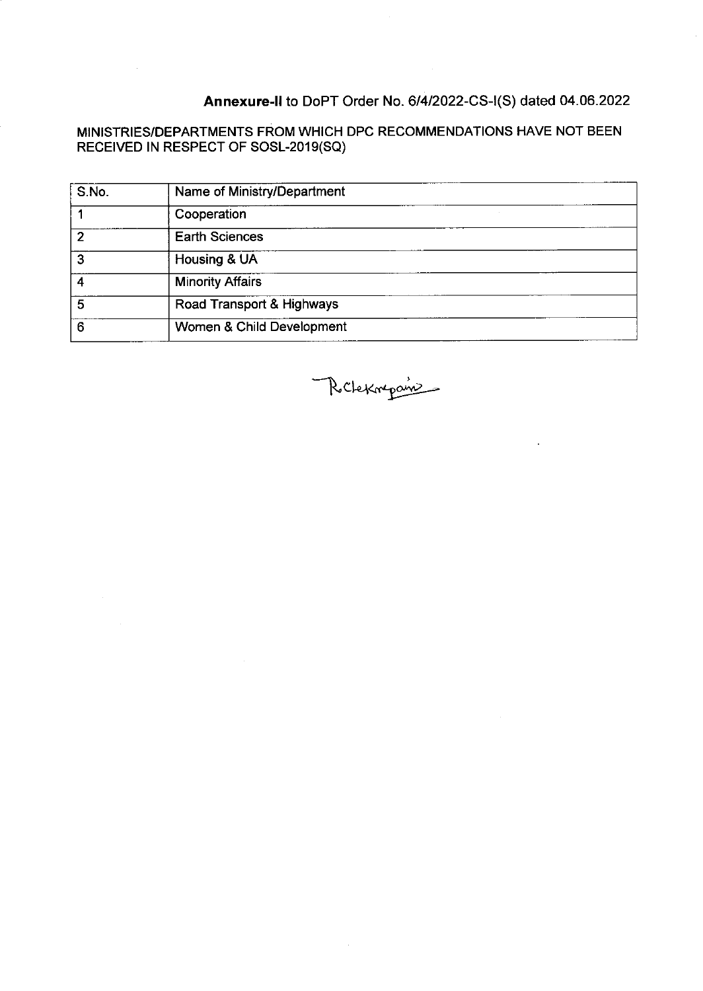# Annexure-II to DoPT Order No. 6/4/2022-CS-I(S) dated 04.06.2022

 $\mathcal{L}^{\text{max}}_{\text{max}}$ 

### MINISTRIES/DEPARTMENTS FROM WHICH DPC RECOMMENDATIONS HAVE NOT BEEN RECEIVED IN RESPECT OF SOSL-2019(SQ)

| S.No. | Name of Ministry/Department |  |
|-------|-----------------------------|--|
|       | Cooperation                 |  |
| 2     | <b>Earth Sciences</b>       |  |
| 3     | Housing & UA                |  |
|       | <b>Minority Affairs</b>     |  |
| 5     | Road Transport & Highways   |  |
| 6     | Women & Child Development   |  |

Richekmapamin

 $\sim$ 

 $\mathcal{L}^{\text{max}}_{\text{max}}$  and  $\mathcal{L}^{\text{max}}_{\text{max}}$ 

 $\mathcal{L}^{\pm}$